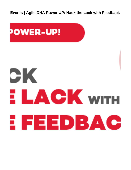<span id="page-0-0"></span>**Events | Agile DNA Power UP: Hack the Lack with Feedback**



# eK E LAGK WITH E FEEDBAG